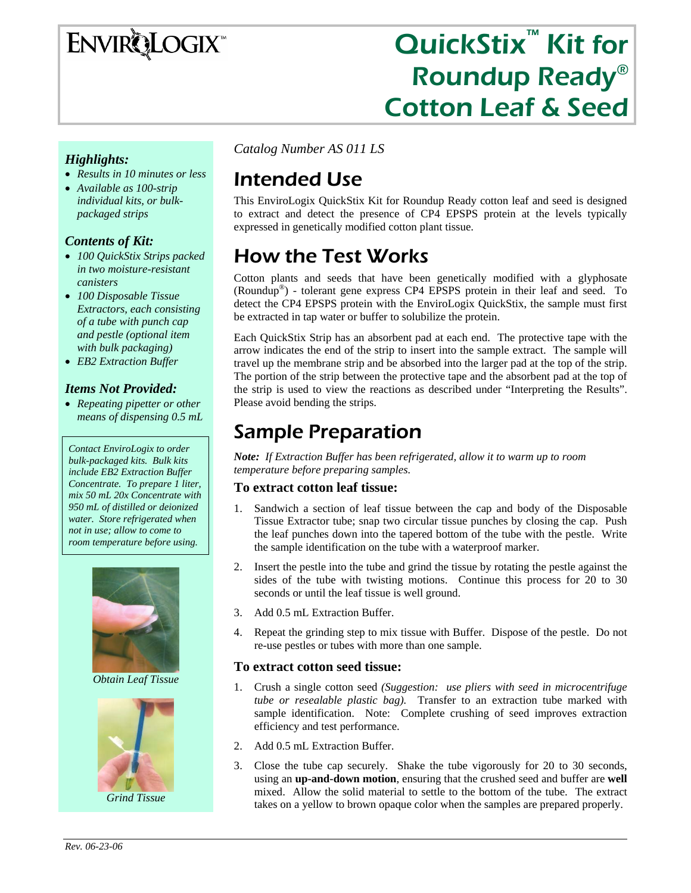

# QuickStix<sup>™</sup> Kit for Roundup Ready® Cotton Leaf & Seed

#### *Highlights:*

- *Results in 10 minutes or less*
- *Available as 100-strip individual kits, or bulkpackaged strips*

#### *Contents of Kit:*

- *100 QuickStix Strips packed in two moisture-resistant canisters*
- *100 Disposable Tissue Extractors, each consisting of a tube with punch cap and pestle (optional item with bulk packaging)*
- *EB2 Extraction Buffer*

#### *Items Not Provided:*

• *Repeating pipetter or other means of dispensing 0.5 mL* 

*Contact EnviroLogix to order bulk-packaged kits. Bulk kits include EB2 Extraction Buffer Concentrate. To prepare 1 liter, mix 50 mL 20x Concentrate with 950 mL of distilled or deionized water. Store refrigerated when not in use; allow to come to room temperature before using.* 



*Obtain Leaf Tissue* 



*Grind Tissue* 

*Catalog Number AS 011 LS* 

# Intended Use

This EnviroLogix QuickStix Kit for Roundup Ready cotton leaf and seed is designed to extract and detect the presence of CP4 EPSPS protein at the levels typically expressed in genetically modified cotton plant tissue.

# How the Test Works

Cotton plants and seeds that have been genetically modified with a glyphosate (Roundup®) - tolerant gene express CP4 EPSPS protein in their leaf and seed. To detect the CP4 EPSPS protein with the EnviroLogix QuickStix, the sample must first be extracted in tap water or buffer to solubilize the protein.

Each QuickStix Strip has an absorbent pad at each end. The protective tape with the arrow indicates the end of the strip to insert into the sample extract. The sample will travel up the membrane strip and be absorbed into the larger pad at the top of the strip. The portion of the strip between the protective tape and the absorbent pad at the top of the strip is used to view the reactions as described under "Interpreting the Results". Please avoid bending the strips.

### Sample Preparation

*Note: If Extraction Buffer has been refrigerated, allow it to warm up to room temperature before preparing samples.* 

#### **To extract cotton leaf tissue:**

- 1. Sandwich a section of leaf tissue between the cap and body of the Disposable Tissue Extractor tube; snap two circular tissue punches by closing the cap. Push the leaf punches down into the tapered bottom of the tube with the pestle. Write the sample identification on the tube with a waterproof marker.
- 2. Insert the pestle into the tube and grind the tissue by rotating the pestle against the sides of the tube with twisting motions. Continue this process for 20 to 30 seconds or until the leaf tissue is well ground.
- 3. Add 0.5 mL Extraction Buffer.
- 4. Repeat the grinding step to mix tissue with Buffer. Dispose of the pestle. Do not re-use pestles or tubes with more than one sample.

#### **To extract cotton seed tissue:**

- 1. Crush a single cotton seed *(Suggestion: use pliers with seed in microcentrifuge tube or resealable plastic bag).* Transfer to an extraction tube marked with sample identification. Note: Complete crushing of seed improves extraction efficiency and test performance.
- 2. Add 0.5 mL Extraction Buffer.
- 3. Close the tube cap securely. Shake the tube vigorously for 20 to 30 seconds, using an **up-and-down motion**, ensuring that the crushed seed and buffer are **well** mixed. Allow the solid material to settle to the bottom of the tube. The extract takes on a yellow to brown opaque color when the samples are prepared properly.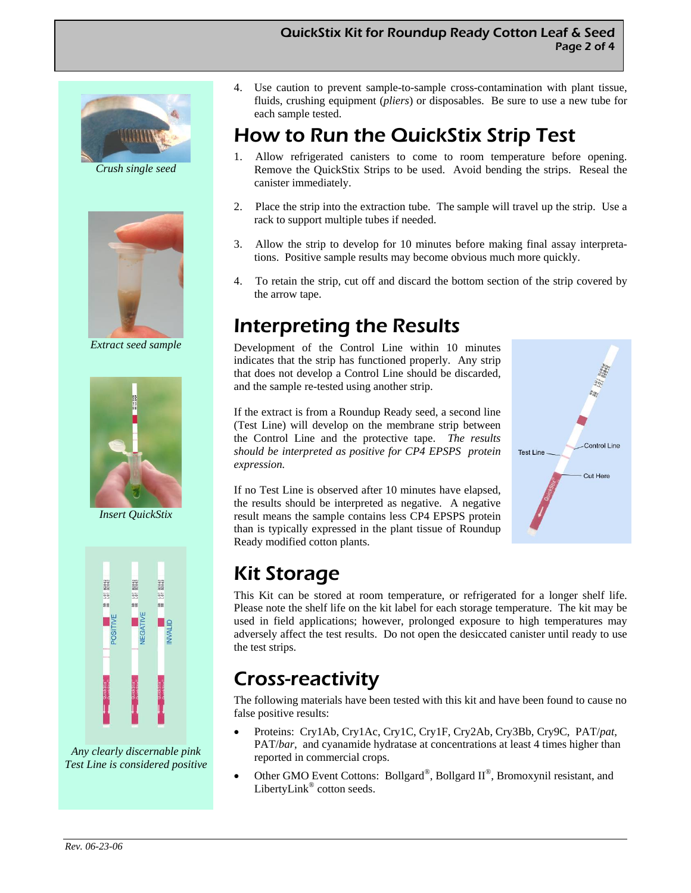#### QuickStix Kit for Roundup Ready Cotton Leaf & Seed Page 2 of 4



*Crush single seed* 



*Extract seed sample* 



*Insert QuickStix* 



*Any clearly discernable pink Test Line is considered positive*  4. Use caution to prevent sample-to-sample cross-contamination with plant tissue, fluids, crushing equipment (*pliers*) or disposables. Be sure to use a new tube for each sample tested.

### How to Run the QuickStix Strip Test

- 1. Allow refrigerated canisters to come to room temperature before opening. Remove the QuickStix Strips to be used. Avoid bending the strips. Reseal the canister immediately.
- 2. Place the strip into the extraction tube. The sample will travel up the strip. Use a rack to support multiple tubes if needed.
- 3. Allow the strip to develop for 10 minutes before making final assay interpretations. Positive sample results may become obvious much more quickly.
- 4. To retain the strip, cut off and discard the bottom section of the strip covered by the arrow tape.

### Interpreting the Results

Development of the Control Line within 10 minutes indicates that the strip has functioned properly. Any strip that does not develop a Control Line should be discarded, and the sample re-tested using another strip.

If the extract is from a Roundup Ready seed, a second line (Test Line) will develop on the membrane strip between the Control Line and the protective tape. *The results should be interpreted as positive for CP4 EPSPS protein expression.* 

If no Test Line is observed after 10 minutes have elapsed, the results should be interpreted as negative. A negative result means the sample contains less CP4 EPSPS protein than is typically expressed in the plant tissue of Roundup Ready modified cotton plants.



# Kit Storage

This Kit can be stored at room temperature, or refrigerated for a longer shelf life. Please note the shelf life on the kit label for each storage temperature. The kit may be used in field applications; however, prolonged exposure to high temperatures may adversely affect the test results. Do not open the desiccated canister until ready to use the test strips.

### Cross-reactivity

The following materials have been tested with this kit and have been found to cause no false positive results:

- Proteins: Cry1Ab, Cry1Ac, Cry1C, Cry1F, Cry2Ab, Cry3Bb, Cry9C, PAT/*pat*, PAT/*bar*, and cyanamide hydratase at concentrations at least 4 times higher than reported in commercial crops.
- Other GMO Event Cottons: Bollgard®, Bollgard  $II^{\circledast}$ , Bromoxynil resistant, and LibertyLink<sup>®</sup> cotton seeds.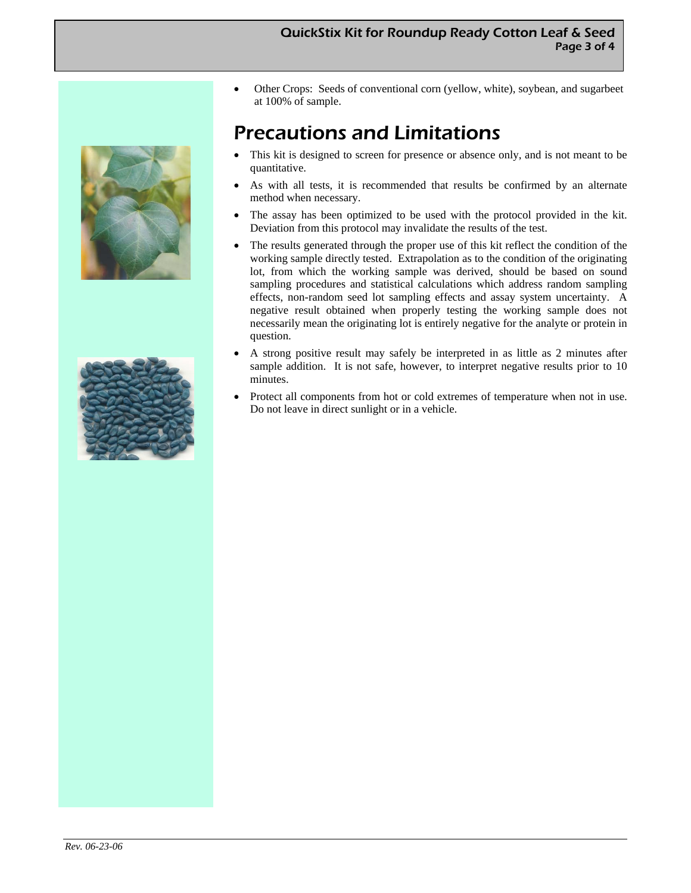#### QuickStix Kit for Roundup Ready Cotton Leaf & Seed Page 3 of 4





• Other Crops: Seeds of conventional corn (yellow, white), soybean, and sugarbeet at 100% of sample.

### Precautions and Limitations

- This kit is designed to screen for presence or absence only, and is not meant to be quantitative.
- As with all tests, it is recommended that results be confirmed by an alternate method when necessary.
- The assay has been optimized to be used with the protocol provided in the kit. Deviation from this protocol may invalidate the results of the test.
- The results generated through the proper use of this kit reflect the condition of the working sample directly tested. Extrapolation as to the condition of the originating lot, from which the working sample was derived, should be based on sound sampling procedures and statistical calculations which address random sampling effects, non-random seed lot sampling effects and assay system uncertainty. A negative result obtained when properly testing the working sample does not necessarily mean the originating lot is entirely negative for the analyte or protein in question.
- A strong positive result may safely be interpreted in as little as 2 minutes after sample addition. It is not safe, however, to interpret negative results prior to 10 minutes.
- Protect all components from hot or cold extremes of temperature when not in use. Do not leave in direct sunlight or in a vehicle.